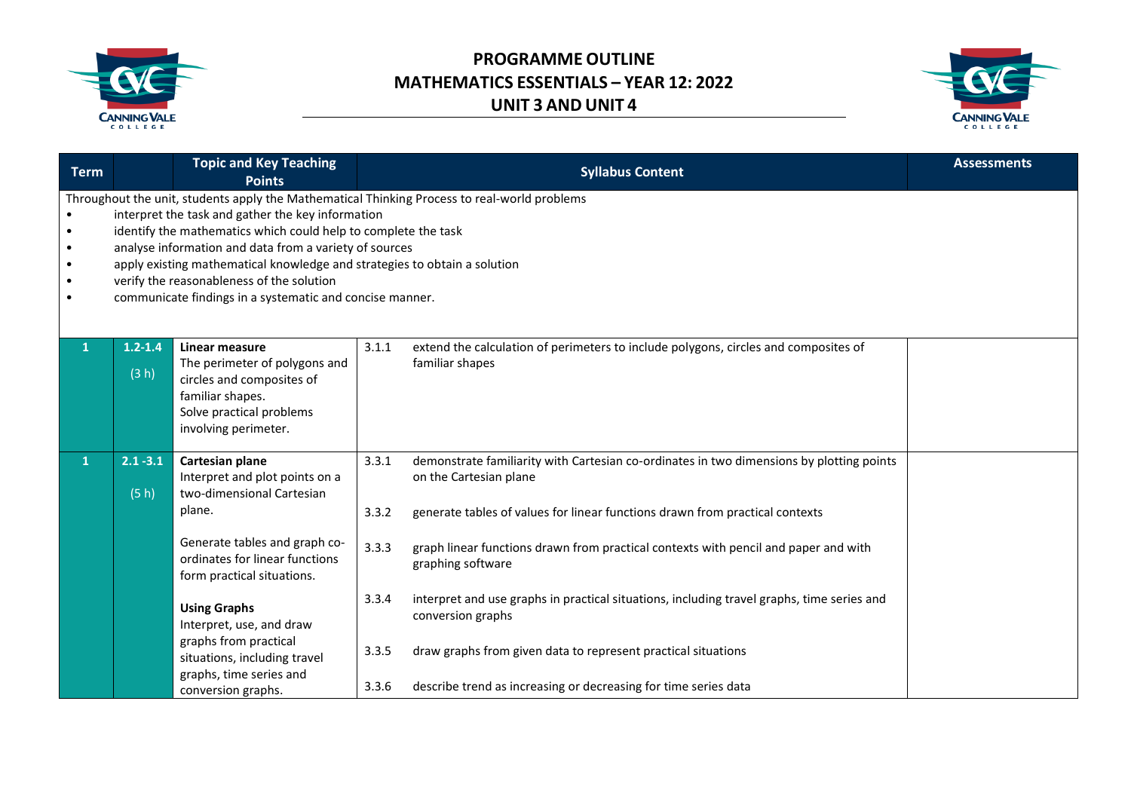



| <b>Term</b>                           |                                                                                                                                                                                                                                                                                                                                                                                                                                                                     | <b>Topic and Key Teaching</b><br><b>Points</b>                                                                                                                                                                                                                                                                                                         | <b>Syllabus Content</b>                                                                                                                                                                                                                                                                                                                                                                                                                                                                                                                                                                                                     | <b>Assessments</b> |  |  |  |
|---------------------------------------|---------------------------------------------------------------------------------------------------------------------------------------------------------------------------------------------------------------------------------------------------------------------------------------------------------------------------------------------------------------------------------------------------------------------------------------------------------------------|--------------------------------------------------------------------------------------------------------------------------------------------------------------------------------------------------------------------------------------------------------------------------------------------------------------------------------------------------------|-----------------------------------------------------------------------------------------------------------------------------------------------------------------------------------------------------------------------------------------------------------------------------------------------------------------------------------------------------------------------------------------------------------------------------------------------------------------------------------------------------------------------------------------------------------------------------------------------------------------------------|--------------------|--|--|--|
| ٠<br>$\bullet$<br>٠<br>$\bullet$<br>٠ | Throughout the unit, students apply the Mathematical Thinking Process to real-world problems<br>interpret the task and gather the key information<br>identify the mathematics which could help to complete the task<br>analyse information and data from a variety of sources<br>apply existing mathematical knowledge and strategies to obtain a solution<br>verify the reasonableness of the solution<br>communicate findings in a systematic and concise manner. |                                                                                                                                                                                                                                                                                                                                                        |                                                                                                                                                                                                                                                                                                                                                                                                                                                                                                                                                                                                                             |                    |  |  |  |
|                                       | $1.2 - 1.4$<br>(3 h)                                                                                                                                                                                                                                                                                                                                                                                                                                                | Linear measure<br>The perimeter of polygons and<br>circles and composites of<br>familiar shapes.<br>Solve practical problems<br>involving perimeter.                                                                                                                                                                                                   | 3.1.1<br>extend the calculation of perimeters to include polygons, circles and composites of<br>familiar shapes                                                                                                                                                                                                                                                                                                                                                                                                                                                                                                             |                    |  |  |  |
| 1                                     | $2.1 - 3.1$<br>(5 h)                                                                                                                                                                                                                                                                                                                                                                                                                                                | Cartesian plane<br>Interpret and plot points on a<br>two-dimensional Cartesian<br>plane.<br>Generate tables and graph co-<br>ordinates for linear functions<br>form practical situations.<br><b>Using Graphs</b><br>Interpret, use, and draw<br>graphs from practical<br>situations, including travel<br>graphs, time series and<br>conversion graphs. | demonstrate familiarity with Cartesian co-ordinates in two dimensions by plotting points<br>3.3.1<br>on the Cartesian plane<br>generate tables of values for linear functions drawn from practical contexts<br>3.3.2<br>3.3.3<br>graph linear functions drawn from practical contexts with pencil and paper and with<br>graphing software<br>3.3.4<br>interpret and use graphs in practical situations, including travel graphs, time series and<br>conversion graphs<br>3.3.5<br>draw graphs from given data to represent practical situations<br>describe trend as increasing or decreasing for time series data<br>3.3.6 |                    |  |  |  |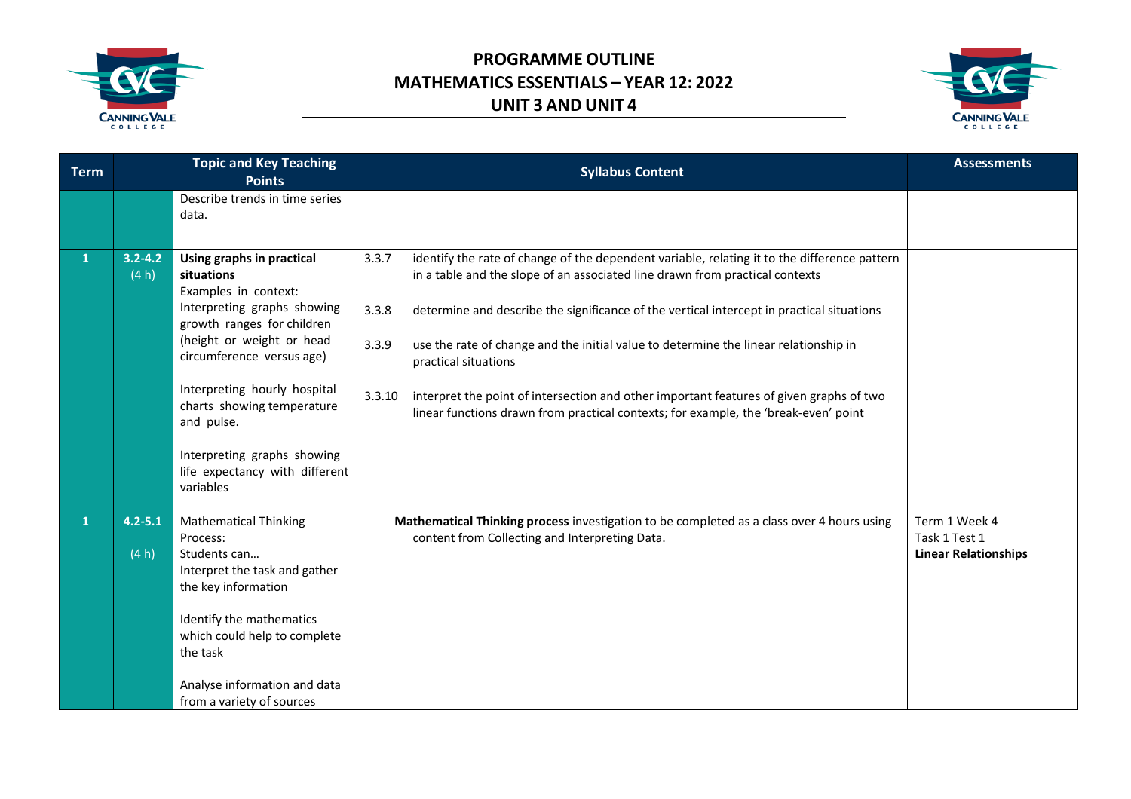



| <b>Term</b>  |                      | <b>Topic and Key Teaching</b><br><b>Points</b>                                                                                                                                                                                                                                                                                                   | <b>Syllabus Content</b>                                                                                                                                                                                                                                                                                                                                                                                                                                                                                                                                                                                          | <b>Assessments</b>                                            |
|--------------|----------------------|--------------------------------------------------------------------------------------------------------------------------------------------------------------------------------------------------------------------------------------------------------------------------------------------------------------------------------------------------|------------------------------------------------------------------------------------------------------------------------------------------------------------------------------------------------------------------------------------------------------------------------------------------------------------------------------------------------------------------------------------------------------------------------------------------------------------------------------------------------------------------------------------------------------------------------------------------------------------------|---------------------------------------------------------------|
|              |                      | Describe trends in time series<br>data.                                                                                                                                                                                                                                                                                                          |                                                                                                                                                                                                                                                                                                                                                                                                                                                                                                                                                                                                                  |                                                               |
| $\mathbf{1}$ | $3.2 - 4.2$<br>(4 h) | Using graphs in practical<br>situations<br>Examples in context:<br>Interpreting graphs showing<br>growth ranges for children<br>(height or weight or head<br>circumference versus age)<br>Interpreting hourly hospital<br>charts showing temperature<br>and pulse.<br>Interpreting graphs showing<br>life expectancy with different<br>variables | identify the rate of change of the dependent variable, relating it to the difference pattern<br>3.3.7<br>in a table and the slope of an associated line drawn from practical contexts<br>determine and describe the significance of the vertical intercept in practical situations<br>3.3.8<br>3.3.9<br>use the rate of change and the initial value to determine the linear relationship in<br>practical situations<br>3.3.10<br>interpret the point of intersection and other important features of given graphs of two<br>linear functions drawn from practical contexts; for example, the 'break-even' point |                                                               |
| $\mathbf{1}$ | $4.2 - 5.1$<br>(4 h) | <b>Mathematical Thinking</b><br>Process:<br>Students can<br>Interpret the task and gather<br>the key information<br>Identify the mathematics<br>which could help to complete<br>the task<br>Analyse information and data<br>from a variety of sources                                                                                            | Mathematical Thinking process investigation to be completed as a class over 4 hours using<br>content from Collecting and Interpreting Data.                                                                                                                                                                                                                                                                                                                                                                                                                                                                      | Term 1 Week 4<br>Task 1 Test 1<br><b>Linear Relationships</b> |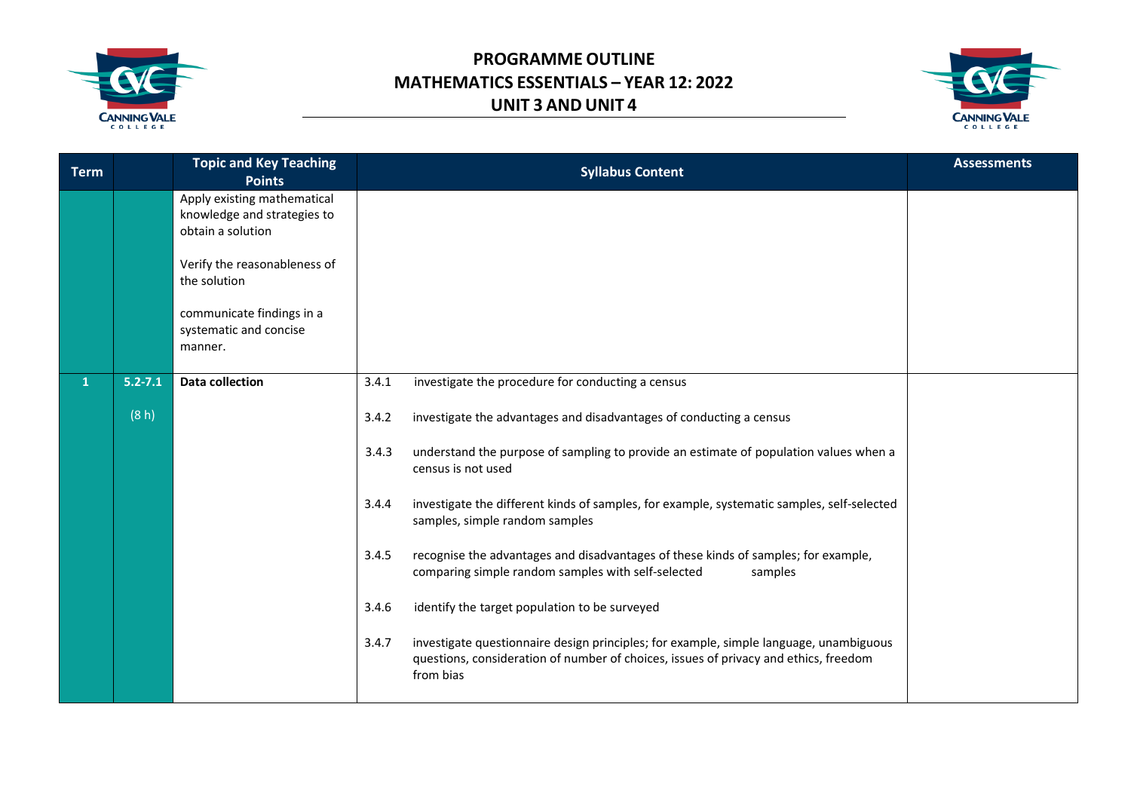



| <b>Term</b> |             | <b>Topic and Key Teaching</b><br><b>Points</b>                                  | <b>Syllabus Content</b>                                                                                                                                                                              | <b>Assessments</b> |
|-------------|-------------|---------------------------------------------------------------------------------|------------------------------------------------------------------------------------------------------------------------------------------------------------------------------------------------------|--------------------|
|             |             | Apply existing mathematical<br>knowledge and strategies to<br>obtain a solution |                                                                                                                                                                                                      |                    |
|             |             | Verify the reasonableness of<br>the solution                                    |                                                                                                                                                                                                      |                    |
|             |             | communicate findings in a<br>systematic and concise<br>manner.                  |                                                                                                                                                                                                      |                    |
|             | $5.2 - 7.1$ | <b>Data collection</b>                                                          | investigate the procedure for conducting a census<br>3.4.1                                                                                                                                           |                    |
|             | (8 h)       |                                                                                 | investigate the advantages and disadvantages of conducting a census<br>3.4.2                                                                                                                         |                    |
|             |             |                                                                                 | 3.4.3<br>understand the purpose of sampling to provide an estimate of population values when a<br>census is not used                                                                                 |                    |
|             |             |                                                                                 | investigate the different kinds of samples, for example, systematic samples, self-selected<br>3.4.4<br>samples, simple random samples                                                                |                    |
|             |             |                                                                                 | 3.4.5<br>recognise the advantages and disadvantages of these kinds of samples; for example,<br>comparing simple random samples with self-selected<br>samples                                         |                    |
|             |             |                                                                                 | identify the target population to be surveyed<br>3.4.6                                                                                                                                               |                    |
|             |             |                                                                                 | investigate questionnaire design principles; for example, simple language, unambiguous<br>3.4.7<br>questions, consideration of number of choices, issues of privacy and ethics, freedom<br>from bias |                    |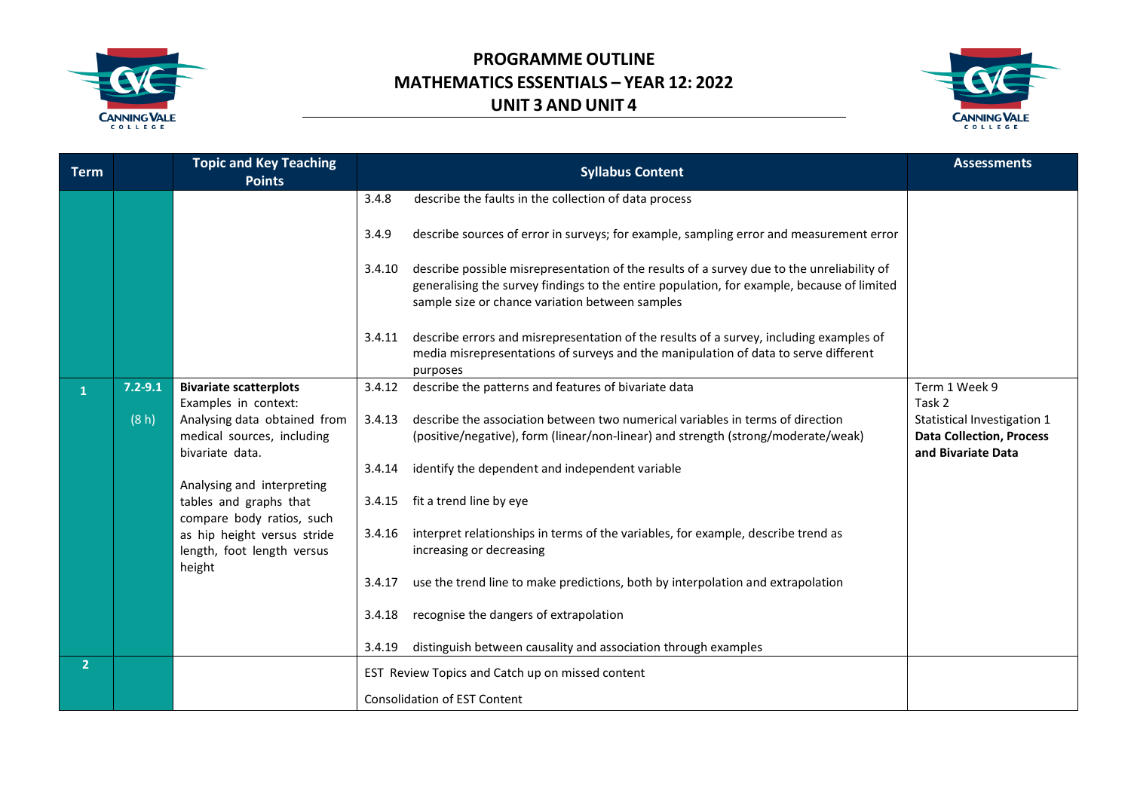



| <b>Term</b>    |             | <b>Topic and Key Teaching</b><br><b>Points</b>                                |        | <b>Syllabus Content</b>                                                                                                                                                                                                                     | <b>Assessments</b>                                                                   |
|----------------|-------------|-------------------------------------------------------------------------------|--------|---------------------------------------------------------------------------------------------------------------------------------------------------------------------------------------------------------------------------------------------|--------------------------------------------------------------------------------------|
|                |             |                                                                               | 3.4.8  | describe the faults in the collection of data process                                                                                                                                                                                       |                                                                                      |
|                |             |                                                                               | 3.4.9  | describe sources of error in surveys; for example, sampling error and measurement error                                                                                                                                                     |                                                                                      |
|                |             |                                                                               | 3.4.10 | describe possible misrepresentation of the results of a survey due to the unreliability of<br>generalising the survey findings to the entire population, for example, because of limited<br>sample size or chance variation between samples |                                                                                      |
|                |             |                                                                               | 3.4.11 | describe errors and misrepresentation of the results of a survey, including examples of<br>media misrepresentations of surveys and the manipulation of data to serve different<br>purposes                                                  |                                                                                      |
| $\mathbf{1}$   | $7.2 - 9.1$ | <b>Bivariate scatterplots</b><br>Examples in context:                         | 3.4.12 | describe the patterns and features of bivariate data                                                                                                                                                                                        | Term 1 Week 9<br>Task 2                                                              |
|                | (8 h)       | Analysing data obtained from<br>medical sources, including<br>bivariate data. | 3.4.13 | describe the association between two numerical variables in terms of direction<br>(positive/negative), form (linear/non-linear) and strength (strong/moderate/weak)                                                                         | Statistical Investigation 1<br><b>Data Collection, Process</b><br>and Bivariate Data |
|                |             | Analysing and interpreting                                                    | 3.4.14 | identify the dependent and independent variable                                                                                                                                                                                             |                                                                                      |
|                |             | tables and graphs that<br>compare body ratios, such                           |        | 3.4.15 fit a trend line by eye                                                                                                                                                                                                              |                                                                                      |
|                |             | as hip height versus stride<br>length, foot length versus<br>height           | 3.4.16 | interpret relationships in terms of the variables, for example, describe trend as<br>increasing or decreasing                                                                                                                               |                                                                                      |
|                |             |                                                                               | 3.4.17 | use the trend line to make predictions, both by interpolation and extrapolation                                                                                                                                                             |                                                                                      |
|                |             |                                                                               | 3.4.18 | recognise the dangers of extrapolation                                                                                                                                                                                                      |                                                                                      |
|                |             |                                                                               | 3.4.19 | distinguish between causality and association through examples                                                                                                                                                                              |                                                                                      |
| $\overline{2}$ |             |                                                                               |        | EST Review Topics and Catch up on missed content                                                                                                                                                                                            |                                                                                      |
|                |             |                                                                               |        | <b>Consolidation of EST Content</b>                                                                                                                                                                                                         |                                                                                      |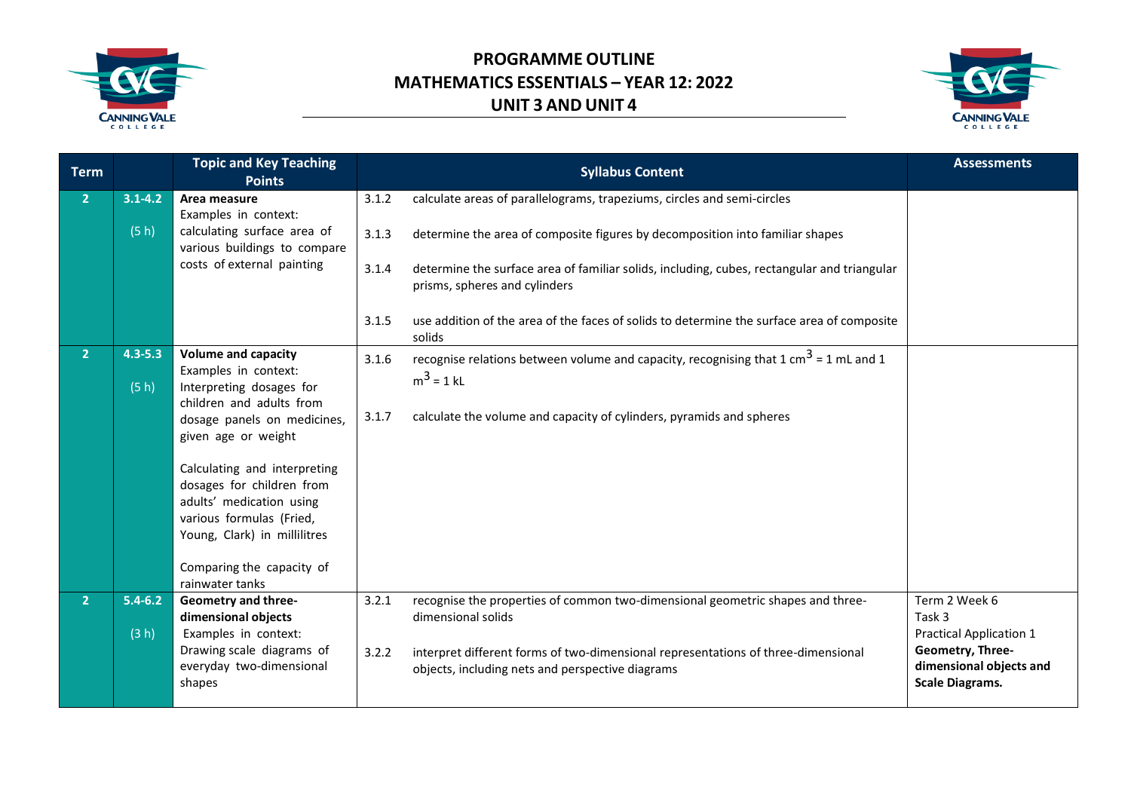



| <b>Term</b>    |                     | <b>Topic and Key Teaching</b><br><b>Points</b>                                                                                                                                                                                                                                        |                | <b>Syllabus Content</b>                                                                                                                                                                 | <b>Assessments</b>                                                                                      |
|----------------|---------------------|---------------------------------------------------------------------------------------------------------------------------------------------------------------------------------------------------------------------------------------------------------------------------------------|----------------|-----------------------------------------------------------------------------------------------------------------------------------------------------------------------------------------|---------------------------------------------------------------------------------------------------------|
| $\overline{2}$ | $3.1 - 4.2$         | Area measure<br>Examples in context:                                                                                                                                                                                                                                                  | 3.1.2          | calculate areas of parallelograms, trapeziums, circles and semi-circles                                                                                                                 |                                                                                                         |
|                | (5 h)               | calculating surface area of<br>various buildings to compare                                                                                                                                                                                                                           | 3.1.3          | determine the area of composite figures by decomposition into familiar shapes                                                                                                           |                                                                                                         |
|                |                     | costs of external painting                                                                                                                                                                                                                                                            | 3.1.4          | determine the surface area of familiar solids, including, cubes, rectangular and triangular<br>prisms, spheres and cylinders                                                            |                                                                                                         |
|                |                     |                                                                                                                                                                                                                                                                                       | 3.1.5          | use addition of the area of the faces of solids to determine the surface area of composite<br>solids                                                                                    |                                                                                                         |
| $\overline{2}$ | $4.3 - 5.3$<br>(5h) | <b>Volume and capacity</b><br>Examples in context:<br>Interpreting dosages for<br>children and adults from<br>dosage panels on medicines,<br>given age or weight<br>Calculating and interpreting<br>dosages for children from<br>adults' medication using<br>various formulas (Fried, | 3.1.6<br>3.1.7 | recognise relations between volume and capacity, recognising that $1 \text{ cm}^3$ = 1 mL and 1<br>$m^3 = 1$ kL<br>calculate the volume and capacity of cylinders, pyramids and spheres |                                                                                                         |
|                |                     | Young, Clark) in millilitres<br>Comparing the capacity of<br>rainwater tanks                                                                                                                                                                                                          |                |                                                                                                                                                                                         |                                                                                                         |
| $\overline{2}$ | $5.4 - 6.2$         | <b>Geometry and three-</b><br>dimensional objects                                                                                                                                                                                                                                     | 3.2.1          | recognise the properties of common two-dimensional geometric shapes and three-<br>dimensional solids                                                                                    | Term 2 Week 6<br>Task 3                                                                                 |
|                | (3 h)               | Examples in context:<br>Drawing scale diagrams of<br>everyday two-dimensional<br>shapes                                                                                                                                                                                               | 3.2.2          | interpret different forms of two-dimensional representations of three-dimensional<br>objects, including nets and perspective diagrams                                                   | <b>Practical Application 1</b><br>Geometry, Three-<br>dimensional objects and<br><b>Scale Diagrams.</b> |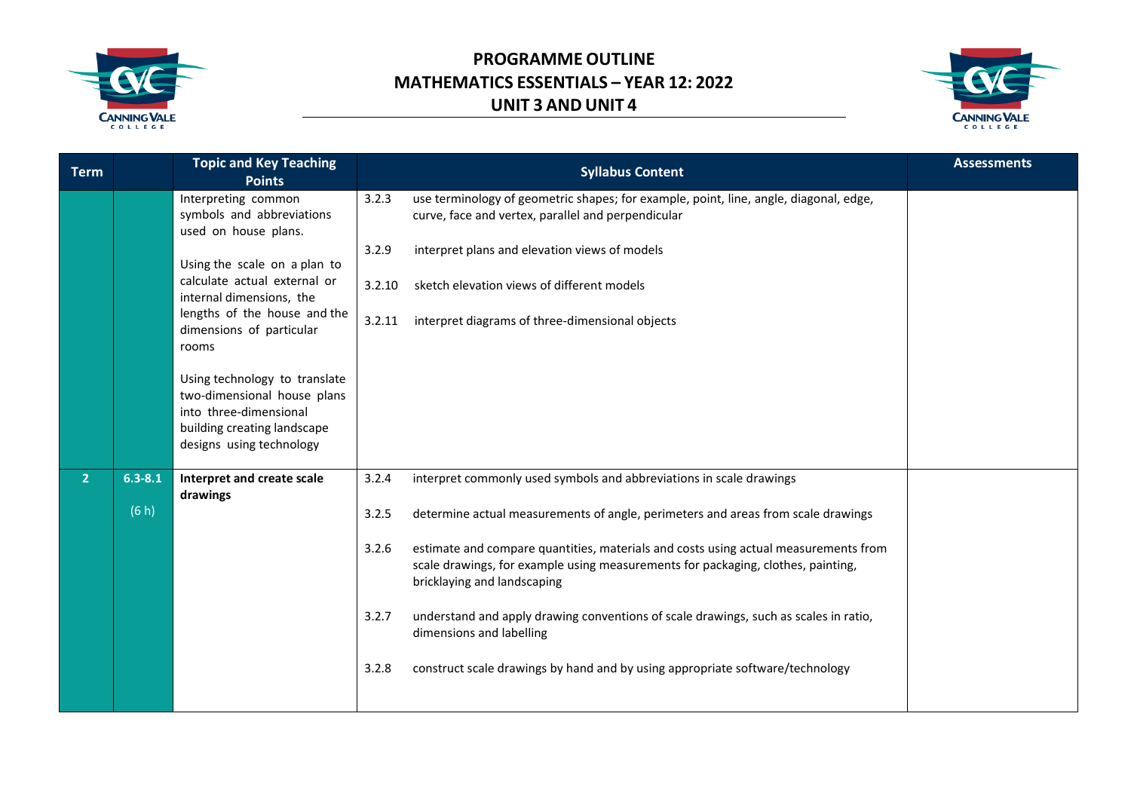



| <b>Term</b>    |             | <b>Topic and Key Teaching</b><br><b>Points</b>                                                                                                    |        | <b>Syllabus Content</b>                                                                                                                                                                                | <b>Assessments</b> |
|----------------|-------------|---------------------------------------------------------------------------------------------------------------------------------------------------|--------|--------------------------------------------------------------------------------------------------------------------------------------------------------------------------------------------------------|--------------------|
|                |             | Interpreting common<br>symbols and abbreviations<br>used on house plans.                                                                          | 3.2.3  | use terminology of geometric shapes; for example, point, line, angle, diagonal, edge,<br>curve, face and vertex, parallel and perpendicular                                                            |                    |
|                |             | Using the scale on a plan to                                                                                                                      | 3.2.9  | interpret plans and elevation views of models                                                                                                                                                          |                    |
|                |             | calculate actual external or<br>internal dimensions, the                                                                                          | 3.2.10 | sketch elevation views of different models                                                                                                                                                             |                    |
|                |             | lengths of the house and the<br>dimensions of particular<br>rooms                                                                                 | 3.2.11 | interpret diagrams of three-dimensional objects                                                                                                                                                        |                    |
|                |             | Using technology to translate<br>two-dimensional house plans<br>into three-dimensional<br>building creating landscape<br>designs using technology |        |                                                                                                                                                                                                        |                    |
| 2 <sup>1</sup> | $6.3 - 8.1$ | Interpret and create scale<br>drawings                                                                                                            | 3.2.4  | interpret commonly used symbols and abbreviations in scale drawings                                                                                                                                    |                    |
|                | (6 h)       |                                                                                                                                                   | 3.2.5  | determine actual measurements of angle, perimeters and areas from scale drawings                                                                                                                       |                    |
|                |             |                                                                                                                                                   | 3.2.6  | estimate and compare quantities, materials and costs using actual measurements from<br>scale drawings, for example using measurements for packaging, clothes, painting,<br>bricklaying and landscaping |                    |
|                |             |                                                                                                                                                   | 3.2.7  | understand and apply drawing conventions of scale drawings, such as scales in ratio,<br>dimensions and labelling                                                                                       |                    |
|                |             |                                                                                                                                                   | 3.2.8  | construct scale drawings by hand and by using appropriate software/technology                                                                                                                          |                    |
|                |             |                                                                                                                                                   |        |                                                                                                                                                                                                        |                    |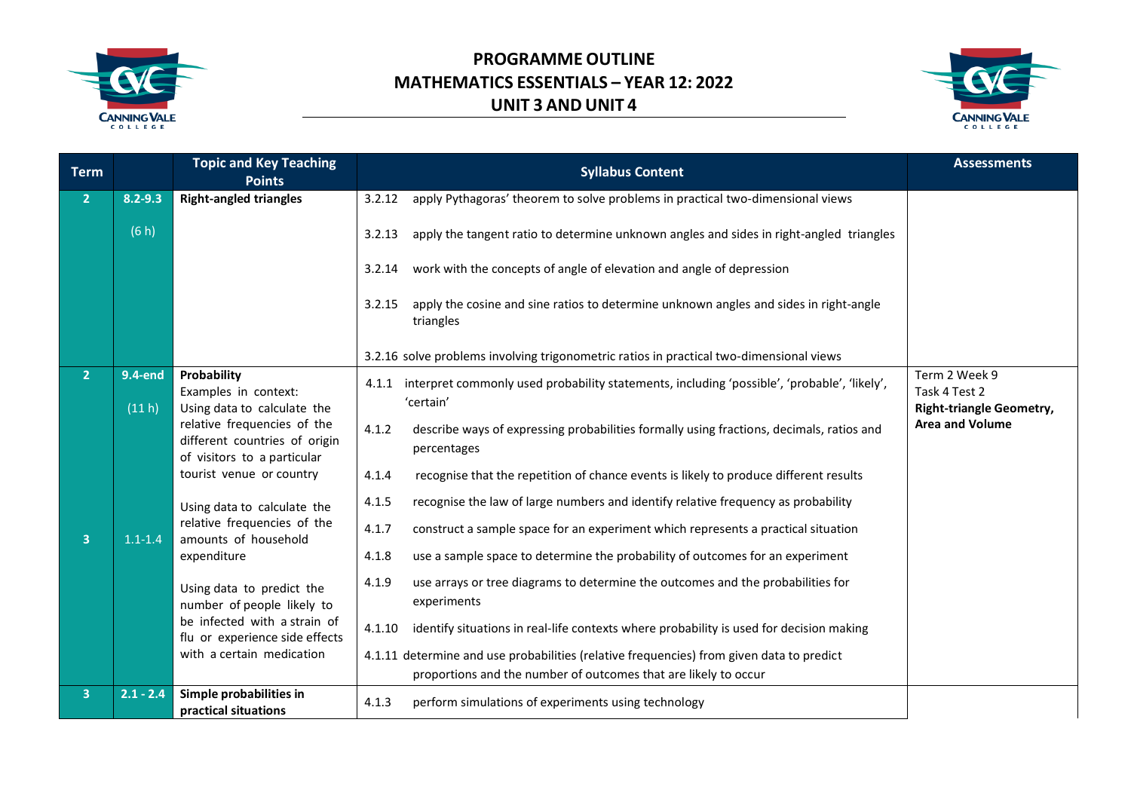



| Term                    |                   | <b>Topic and Key Teaching</b><br><b>Points</b>                                              | <b>Syllabus Content</b>                                                                                          | <b>Assessments</b>                                                |
|-------------------------|-------------------|---------------------------------------------------------------------------------------------|------------------------------------------------------------------------------------------------------------------|-------------------------------------------------------------------|
| 2 <sup>1</sup>          | $8.2 - 9.3$       | <b>Right-angled triangles</b>                                                               | apply Pythagoras' theorem to solve problems in practical two-dimensional views<br>3.2.12                         |                                                                   |
|                         | (6 h)             |                                                                                             | apply the tangent ratio to determine unknown angles and sides in right-angled triangles<br>3.2.13                |                                                                   |
|                         |                   |                                                                                             | work with the concepts of angle of elevation and angle of depression<br>3.2.14                                   |                                                                   |
|                         |                   |                                                                                             | apply the cosine and sine ratios to determine unknown angles and sides in right-angle<br>3.2.15<br>triangles     |                                                                   |
|                         |                   |                                                                                             | 3.2.16 solve problems involving trigonometric ratios in practical two-dimensional views                          |                                                                   |
| 2 <sup>1</sup>          | 9.4-end<br>(11 h) | Probability<br>Examples in context:<br>Using data to calculate the                          | 4.1.1 interpret commonly used probability statements, including 'possible', 'probable', 'likely',<br>'certain'   | Term 2 Week 9<br>Task 4 Test 2<br><b>Right-triangle Geometry,</b> |
|                         |                   | relative frequencies of the<br>different countries of origin<br>of visitors to a particular | describe ways of expressing probabilities formally using fractions, decimals, ratios and<br>4.1.2<br>percentages | <b>Area and Volume</b>                                            |
|                         |                   | tourist venue or country                                                                    | recognise that the repetition of chance events is likely to produce different results<br>4.1.4                   |                                                                   |
|                         |                   | Using data to calculate the                                                                 | recognise the law of large numbers and identify relative frequency as probability<br>4.1.5                       |                                                                   |
| $\overline{3}$          | $1.1 - 1.4$       | relative frequencies of the<br>amounts of household                                         | 4.1.7<br>construct a sample space for an experiment which represents a practical situation                       |                                                                   |
|                         |                   | expenditure                                                                                 | use a sample space to determine the probability of outcomes for an experiment<br>4.1.8                           |                                                                   |
|                         |                   | Using data to predict the<br>number of people likely to                                     | 4.1.9<br>use arrays or tree diagrams to determine the outcomes and the probabilities for<br>experiments          |                                                                   |
|                         |                   | be infected with a strain of<br>flu or experience side effects                              | identify situations in real-life contexts where probability is used for decision making<br>4.1.10                |                                                                   |
|                         |                   | with a certain medication                                                                   | 4.1.11 determine and use probabilities (relative frequencies) from given data to predict                         |                                                                   |
|                         |                   |                                                                                             | proportions and the number of outcomes that are likely to occur                                                  |                                                                   |
| $\overline{\mathbf{3}}$ | $2.1 - 2.4$       | Simple probabilities in<br>practical situations                                             | 4.1.3<br>perform simulations of experiments using technology                                                     |                                                                   |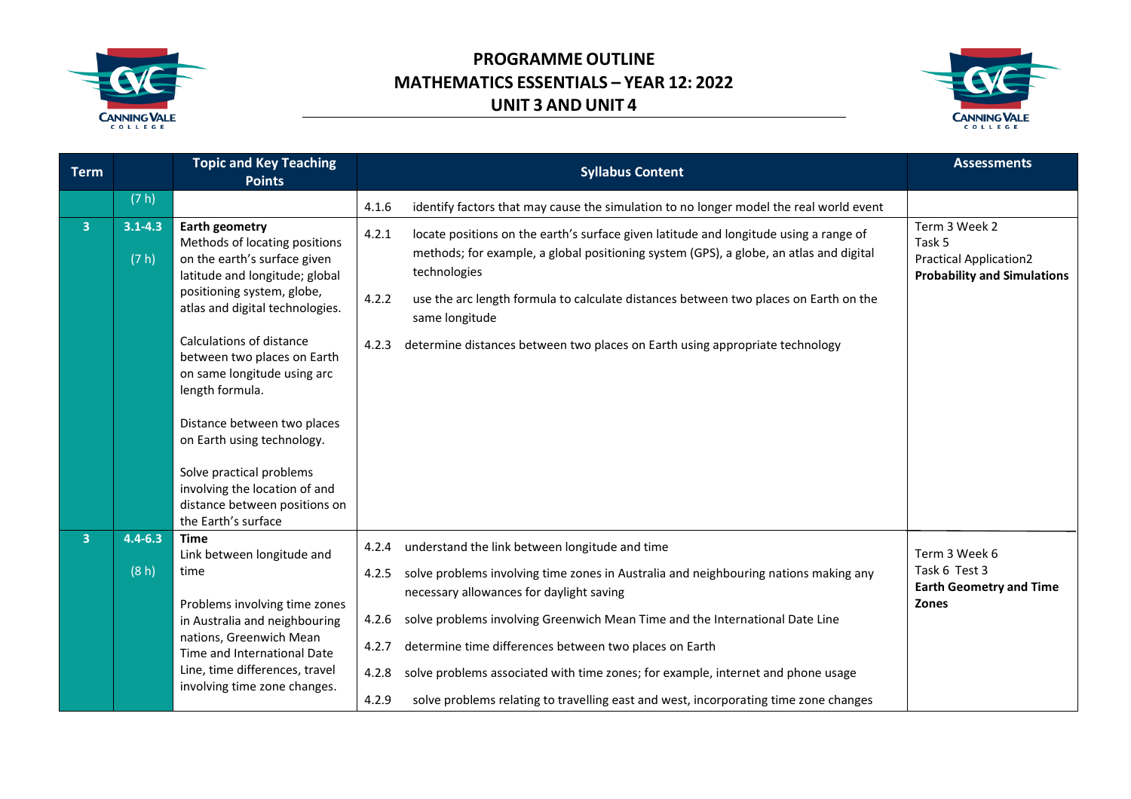



| <b>Term</b>    |                      | <b>Topic and Key Teaching</b><br><b>Points</b>                                                                                                                                            | <b>Syllabus Content</b>                                                                                                                                                                                                                                                                                                     | <b>Assessments</b>                                                                             |
|----------------|----------------------|-------------------------------------------------------------------------------------------------------------------------------------------------------------------------------------------|-----------------------------------------------------------------------------------------------------------------------------------------------------------------------------------------------------------------------------------------------------------------------------------------------------------------------------|------------------------------------------------------------------------------------------------|
|                | (7 h)                |                                                                                                                                                                                           | identify factors that may cause the simulation to no longer model the real world event<br>4.1.6                                                                                                                                                                                                                             |                                                                                                |
| $\overline{3}$ | $3.1 - 4.3$<br>(7 h) | <b>Earth geometry</b><br>Methods of locating positions<br>on the earth's surface given<br>latitude and longitude; global<br>positioning system, globe,<br>atlas and digital technologies. | locate positions on the earth's surface given latitude and longitude using a range of<br>4.2.1<br>methods; for example, a global positioning system (GPS), a globe, an atlas and digital<br>technologies<br>use the arc length formula to calculate distances between two places on Earth on the<br>4.2.2<br>same longitude | Term 3 Week 2<br>Task 5<br><b>Practical Application2</b><br><b>Probability and Simulations</b> |
|                |                      | Calculations of distance<br>between two places on Earth<br>on same longitude using arc<br>length formula.                                                                                 | determine distances between two places on Earth using appropriate technology<br>4.2.3                                                                                                                                                                                                                                       |                                                                                                |
|                |                      | Distance between two places<br>on Earth using technology.<br>Solve practical problems<br>involving the location of and<br>distance between positions on<br>the Earth's surface            |                                                                                                                                                                                                                                                                                                                             |                                                                                                |
| $\overline{3}$ | $4.4 - 6.3$          | <b>Time</b><br>Link between longitude and                                                                                                                                                 | understand the link between longitude and time<br>4.2.4                                                                                                                                                                                                                                                                     | Term 3 Week 6                                                                                  |
|                | (8 h)                | time<br>Problems involving time zones<br>in Australia and neighbouring<br>nations, Greenwich Mean<br>Time and International Date                                                          | solve problems involving time zones in Australia and neighbouring nations making any<br>4.2.5<br>necessary allowances for daylight saving<br>solve problems involving Greenwich Mean Time and the International Date Line<br>4.2.6<br>determine time differences between two places on Earth<br>4.2.7                       | Task 6 Test 3<br><b>Earth Geometry and Time</b><br><b>Zones</b>                                |
|                |                      | Line, time differences, travel<br>involving time zone changes.                                                                                                                            | solve problems associated with time zones; for example, internet and phone usage<br>4.2.8<br>4.2.9<br>solve problems relating to travelling east and west, incorporating time zone changes                                                                                                                                  |                                                                                                |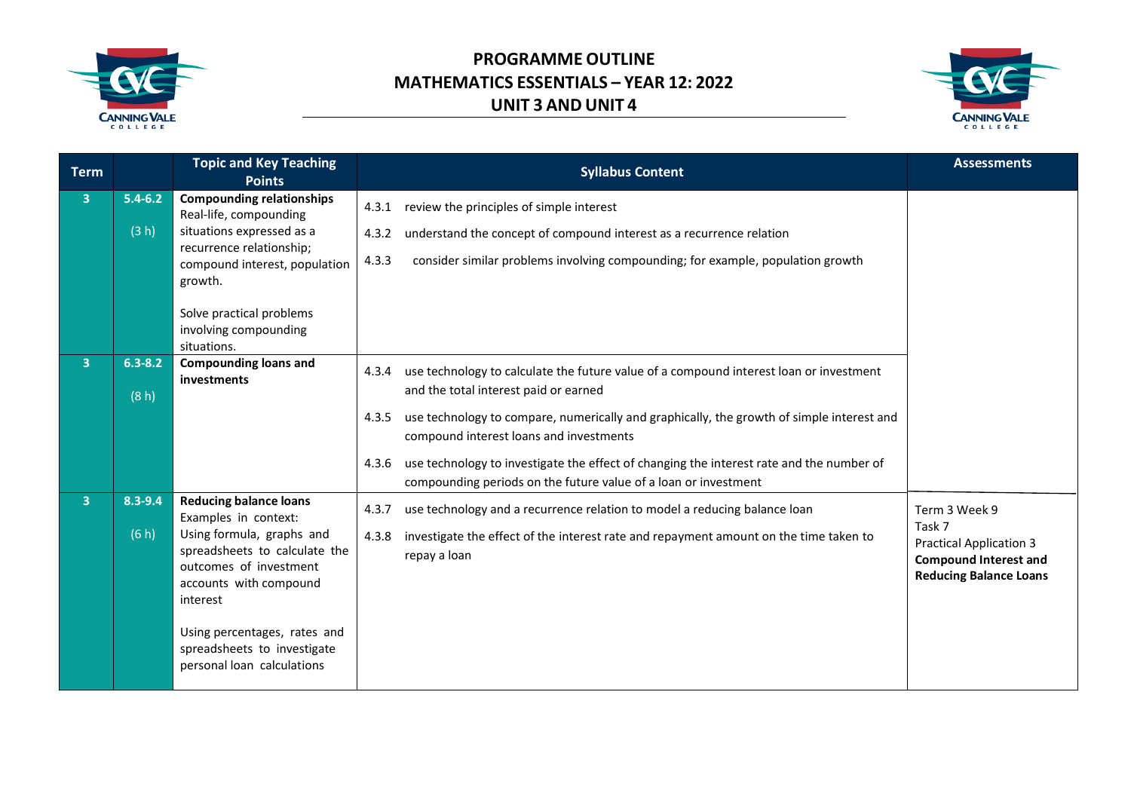



| <b>Term</b>    |                      | <b>Topic and Key Teaching</b><br><b>Points</b>                                                                                                                                                                                                                                   | <b>Syllabus Content</b>                                                                                                                                                                                                                                                                                                                                                                                                                                           | <b>Assessments</b>                                                                                                         |
|----------------|----------------------|----------------------------------------------------------------------------------------------------------------------------------------------------------------------------------------------------------------------------------------------------------------------------------|-------------------------------------------------------------------------------------------------------------------------------------------------------------------------------------------------------------------------------------------------------------------------------------------------------------------------------------------------------------------------------------------------------------------------------------------------------------------|----------------------------------------------------------------------------------------------------------------------------|
| $\overline{3}$ | $5.4 - 6.2$<br>(3 h) | <b>Compounding relationships</b><br>Real-life, compounding<br>situations expressed as a<br>recurrence relationship;<br>compound interest, population<br>growth.<br>Solve practical problems<br>involving compounding<br>situations.                                              | review the principles of simple interest<br>4.3.1<br>understand the concept of compound interest as a recurrence relation<br>4.3.2<br>consider similar problems involving compounding; for example, population growth<br>4.3.3                                                                                                                                                                                                                                    |                                                                                                                            |
| 3 <sup>1</sup> | $6.3 - 8.2$<br>(8h)  | <b>Compounding loans and</b><br><i>investments</i>                                                                                                                                                                                                                               | use technology to calculate the future value of a compound interest loan or investment<br>4.3.4<br>and the total interest paid or earned<br>use technology to compare, numerically and graphically, the growth of simple interest and<br>4.3.5<br>compound interest loans and investments<br>use technology to investigate the effect of changing the interest rate and the number of<br>4.3.6<br>compounding periods on the future value of a loan or investment |                                                                                                                            |
| 3              | 8.3-9.4<br>(6 h)     | <b>Reducing balance loans</b><br>Examples in context:<br>Using formula, graphs and<br>spreadsheets to calculate the<br>outcomes of investment<br>accounts with compound<br>interest<br>Using percentages, rates and<br>spreadsheets to investigate<br>personal loan calculations | use technology and a recurrence relation to model a reducing balance loan<br>4.3.7<br>investigate the effect of the interest rate and repayment amount on the time taken to<br>4.3.8<br>repay a loan                                                                                                                                                                                                                                                              | Term 3 Week 9<br>Task 7<br><b>Practical Application 3</b><br><b>Compound Interest and</b><br><b>Reducing Balance Loans</b> |